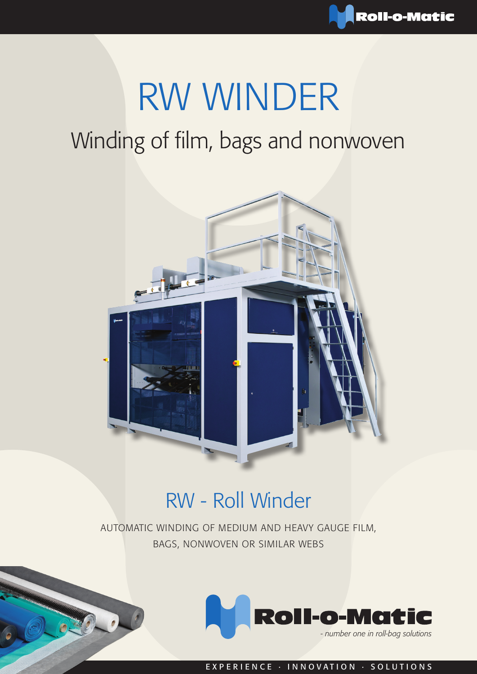# RW WINDER

## Winding of film, bags and nonwoven



### RW - Roll Winder

AUTOMATIC WINDING OF MEDIUM AND HEAVY GAUGE FILM, BAGS, NONWOVEN OR SIMILAR WEBS



EXPERIENCE · INNOVATION · SOLUTIONS